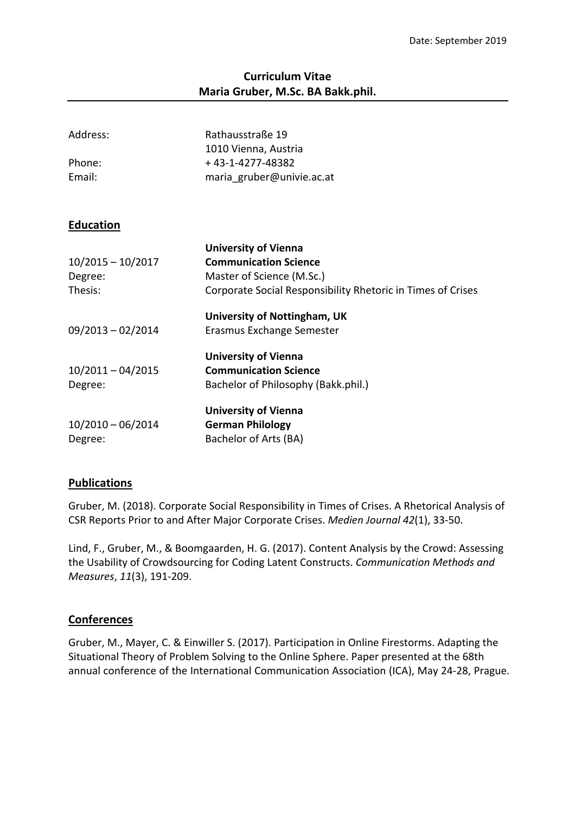## **Curriculum Vitae Maria Gruber, M.Sc. BA Bakk.phil.**

| Address:            | Rathausstraße 19<br>1010 Vienna, Austria                    |
|---------------------|-------------------------------------------------------------|
| Phone:              | +43-1-4277-48382                                            |
| Email:              | maria gruber@univie.ac.at                                   |
| <b>Education</b>    |                                                             |
|                     | <b>University of Vienna</b>                                 |
| $10/2015 - 10/2017$ | <b>Communication Science</b>                                |
| Degree:             | Master of Science (M.Sc.)                                   |
| Thesis:             | Corporate Social Responsibility Rhetoric in Times of Crises |
|                     | University of Nottingham, UK                                |
| $09/2013 - 02/2014$ | Erasmus Exchange Semester                                   |
|                     | <b>University of Vienna</b>                                 |
| $10/2011 - 04/2015$ | <b>Communication Science</b>                                |
| Degree:             | Bachelor of Philosophy (Bakk.phil.)                         |
|                     | <b>University of Vienna</b>                                 |
| $10/2010 - 06/2014$ | <b>German Philology</b>                                     |
| Degree:             | Bachelor of Arts (BA)                                       |

## **Publications**

Gruber, M. (2018). Corporate Social Responsibility in Times of Crises. A Rhetorical Analysis of CSR Reports Prior to and After Major Corporate Crises. *Medien Journal 42*(1), 33-50.

Lind, F., Gruber, M., & Boomgaarden, H. G. (2017). Content Analysis by the Crowd: Assessing the Usability of Crowdsourcing for Coding Latent Constructs. *Communication Methods and Measures*, *11*(3), 191-209.

## **Conferences**

Gruber, M., Mayer, C. & Einwiller S. (2017). Participation in Online Firestorms. Adapting the Situational Theory of Problem Solving to the Online Sphere. Paper presented at the 68th annual conference of the International Communication Association (ICA), May 24-28, Prague.